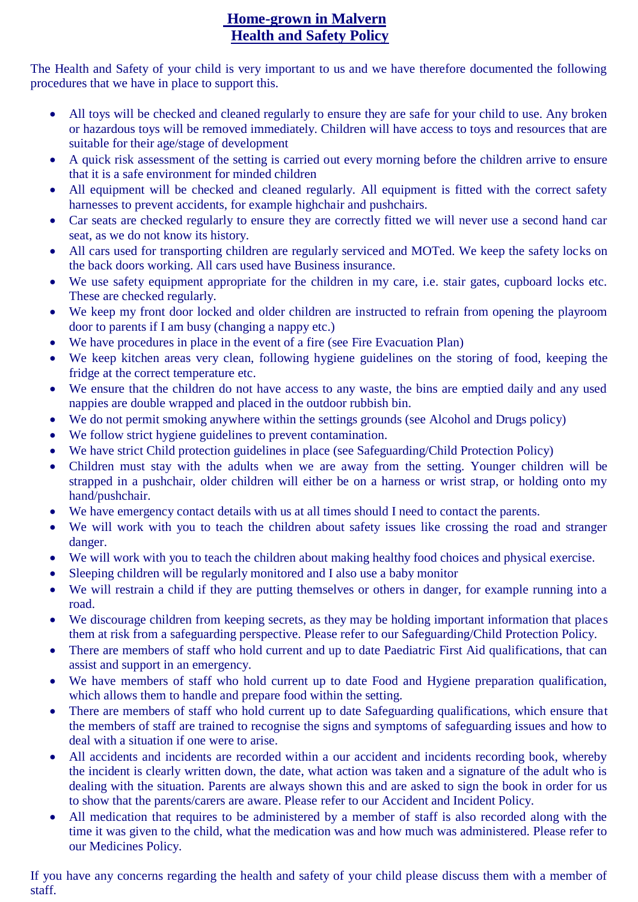## **Home-grown in Malvern Health and Safety Policy**

The Health and Safety of your child is very important to us and we have therefore documented the following procedures that we have in place to support this.

- All toys will be checked and cleaned regularly to ensure they are safe for your child to use. Any broken or hazardous toys will be removed immediately. Children will have access to toys and resources that are suitable for their age/stage of development
- A quick risk assessment of the setting is carried out every morning before the children arrive to ensure that it is a safe environment for minded children
- All equipment will be checked and cleaned regularly. All equipment is fitted with the correct safety harnesses to prevent accidents, for example highchair and pushchairs.
- Car seats are checked regularly to ensure they are correctly fitted we will never use a second hand car seat, as we do not know its history.
- All cars used for transporting children are regularly serviced and MOTed. We keep the safety locks on the back doors working. All cars used have Business insurance.
- We use safety equipment appropriate for the children in my care, i.e. stair gates, cupboard locks etc. These are checked regularly.
- We keep my front door locked and older children are instructed to refrain from opening the playroom door to parents if I am busy (changing a nappy etc.)
- We have procedures in place in the event of a fire (see Fire Evacuation Plan)
- We keep kitchen areas very clean, following hygiene guidelines on the storing of food, keeping the fridge at the correct temperature etc.
- We ensure that the children do not have access to any waste, the bins are emptied daily and any used nappies are double wrapped and placed in the outdoor rubbish bin.
- We do not permit smoking anywhere within the settings grounds (see Alcohol and Drugs policy)
- We follow strict hygiene guidelines to prevent contamination.
- We have strict Child protection guidelines in place (see Safeguarding/Child Protection Policy)
- Children must stay with the adults when we are away from the setting. Younger children will be strapped in a pushchair, older children will either be on a harness or wrist strap, or holding onto my hand/pushchair.
- We have emergency contact details with us at all times should I need to contact the parents.
- We will work with you to teach the children about safety issues like crossing the road and stranger danger.
- We will work with you to teach the children about making healthy food choices and physical exercise.
- Sleeping children will be regularly monitored and I also use a baby monitor
- We will restrain a child if they are putting themselves or others in danger, for example running into a road.
- We discourage children from keeping secrets, as they may be holding important information that places them at risk from a safeguarding perspective. Please refer to our Safeguarding/Child Protection Policy.
- There are members of staff who hold current and up to date Paediatric First Aid qualifications, that can assist and support in an emergency.
- We have members of staff who hold current up to date Food and Hygiene preparation qualification, which allows them to handle and prepare food within the setting.
- There are members of staff who hold current up to date Safeguarding qualifications, which ensure that the members of staff are trained to recognise the signs and symptoms of safeguarding issues and how to deal with a situation if one were to arise.
- All accidents and incidents are recorded within a our accident and incidents recording book, whereby the incident is clearly written down, the date, what action was taken and a signature of the adult who is dealing with the situation. Parents are always shown this and are asked to sign the book in order for us to show that the parents/carers are aware. Please refer to our Accident and Incident Policy.
- All medication that requires to be administered by a member of staff is also recorded along with the time it was given to the child, what the medication was and how much was administered. Please refer to our Medicines Policy.

If you have any concerns regarding the health and safety of your child please discuss them with a member of staff.